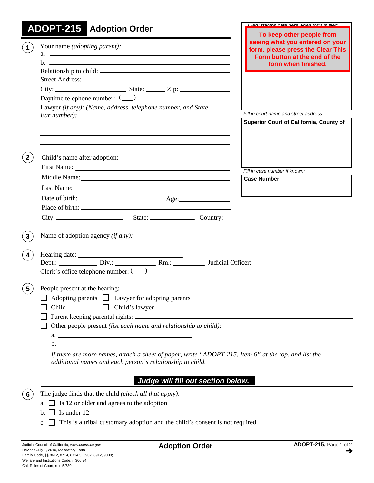| <b>ADOPT-215</b> Adoption Order                                                                                                                                                                                                                                                                                                                                                                | Clark stamps data hara whan form is filad                                                                                                                 |
|------------------------------------------------------------------------------------------------------------------------------------------------------------------------------------------------------------------------------------------------------------------------------------------------------------------------------------------------------------------------------------------------|-----------------------------------------------------------------------------------------------------------------------------------------------------------|
| Your name (adopting parent):<br>$a.$ $\overline{\phantom{a}}$<br>$h.$ $\overline{\phantom{aa}}$<br>Daytime telephone number: $(\_\_)$<br>Lawyer (if any): (Name, address, telephone number, and State                                                                                                                                                                                          | To keep other people from<br>seeing what you entered on your<br>form, please press the Clear This<br>Form button at the end of the<br>form when finished. |
|                                                                                                                                                                                                                                                                                                                                                                                                | Fill in court name and street address:                                                                                                                    |
| and the control of the control of the control of the control of the control of the control of the control of the<br>Child's name after adoption:                                                                                                                                                                                                                                               | Superior Court of California, County of                                                                                                                   |
|                                                                                                                                                                                                                                                                                                                                                                                                | Fill in case number if known:                                                                                                                             |
|                                                                                                                                                                                                                                                                                                                                                                                                | <b>Case Number:</b>                                                                                                                                       |
|                                                                                                                                                                                                                                                                                                                                                                                                |                                                                                                                                                           |
|                                                                                                                                                                                                                                                                                                                                                                                                |                                                                                                                                                           |
|                                                                                                                                                                                                                                                                                                                                                                                                |                                                                                                                                                           |
|                                                                                                                                                                                                                                                                                                                                                                                                |                                                                                                                                                           |
| $Clerk's$ office telephone number: $(\_\_)$                                                                                                                                                                                                                                                                                                                                                    |                                                                                                                                                           |
| People present at the hearing:<br>$5\phantom{.0}$<br>Adopting parents $\Box$ Lawyer for adopting parents<br>Child<br>Child's lawyer<br>Other people present (list each name and relationship to child):<br>$\mathbf{b}$ .<br>If there are more names, attach a sheet of paper, write "ADOPT-215, Item 6" at the top, and list the<br>additional names and each person's relationship to child. |                                                                                                                                                           |
| Judge will fill out section below.                                                                                                                                                                                                                                                                                                                                                             |                                                                                                                                                           |

- The judge finds that the child *(check all that apply):* **6**
	- a.  $\Box$  Is 12 or older and agrees to the adoption
	- b. Is under 12
	- c.  $\Box$  This is a tribal customary adoption and the child's consent is not required.